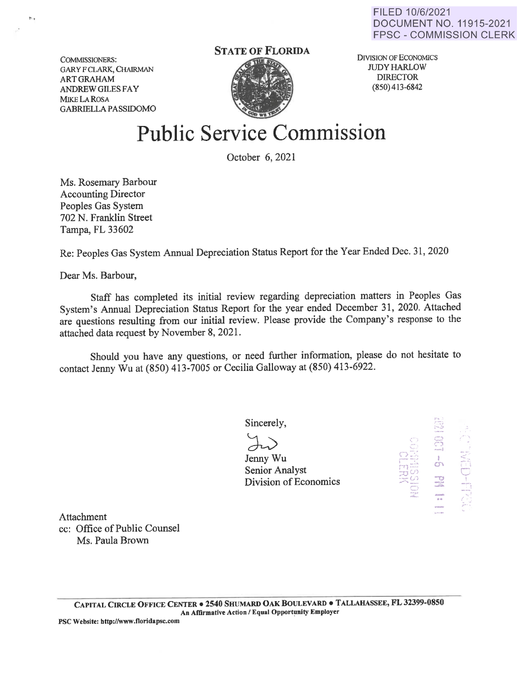FILED 10/6/2021 DOCUMENT NO. 11915-2021 FPSC - COMMISSION CLERK

COMMISSIONERS: GARY F CLARK, CHAIRMAN ARTGRAHAM ANDREW GILES FAY MIKE LA ROSA GABRIELLA PASSIDOMO

## **STATE OF FLORIDA**



DIVISION OF ECONOMICS **JUDY HARLOW** DIRECTOR (850) 413-6842

## **Public Service Commission**

October 6, 2021

Ms. Rosemary Barbour Accounting Director Peoples Gas System 702 N. Franklin Street Tampa, FL 33602

Re: Peoples Gas System Annual Depreciation Status Report for the Year Ended Dec. 31, 2020

Dear Ms. Barbour,

Staff has completed its initial review regarding depreciation matters in Peoples Gas System's Annual Depreciation Status Report for the year ended December 31, 2020. Attached are questions resulting from our initial review. Please provide the Company's response to the attached data request by November 8, 2021.

Should you have any questions, or need further information, please do not hesitate to contact Jenny Wu at (850) 413-7005 or Cecilia Galloway at (850) 413-6922.

Sincerely,

Jrah<br>Jenny Wu Senior Analyst Division of Economics

 $\frac{S}{\infty}$  $~111$   $~111$  $\mathbb{H}^{(j)}$  $\mathbb{E}^{(0)}_{\mathbb{Z}}$ C> ....\_ -.- !'~, *.-.. :.,*   $\Xi$  $\frac{1}{\sigma}$ :g ...... -.. '•· -·  $\mathbb{P}$  $\frac{1}{\sqrt{2}}$  .  $\mathbb{C}$ 

Attachment cc: Office of Public Counsel Ms. Paula Brown

**PSC Website: http://www.floridapsc.com** ·